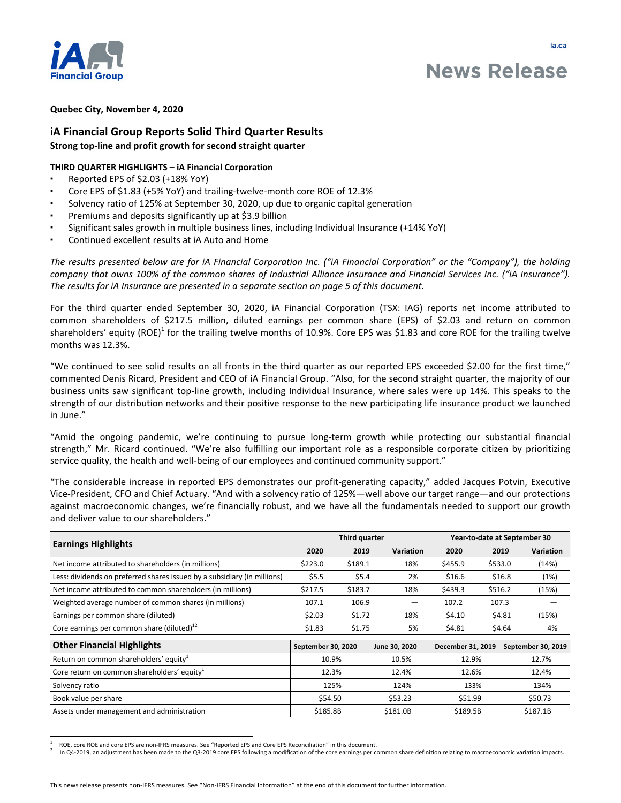

# **News Release**

## **Quebec City, November 4, 2020**

# **iA Financial Group Reports Solid Third Quarter Results Strong top-line and profit growth for second straight quarter**

## **THIRD QUARTER HIGHLIGHTS - iA Financial Corporation**

- Reported EPS of \$2.03 (+18% YoY)
- Core EPS of \$1.83 (+5% YoY) and trailing-twelve-month core ROE of 12.3%
- Solvency ratio of 125% at September 30, 2020, up due to organic capital generation
- Premiums and deposits significantly up at \$3.9 billion
- Significant sales growth in multiple business lines, including Individual Insurance (+14% YoY)
- Continued excellent results at iA Auto and Home

The results presented below are for iA Financial Corporation Inc. ("iA Financial Corporation" or the "Company"), the holding *company that owns 100% of the common shares of Industrial Alliance Insurance and Financial Services Inc. ("iA Insurance").* The results for iA Insurance are presented in a separate section on page 5 of this document.

For the third quarter ended September 30, 2020, iA Financial Corporation (TSX: IAG) reports net income attributed to common shareholders of \$217.5 million, diluted earnings per common share (EPS) of \$2.03 and return on common shareholders' equity (ROE)<sup>1</sup> for the trailing twelve months of 10.9%. Core EPS was \$1.83 and core ROE for the trailing twelve months was 12.3%.

"We continued to see solid results on all fronts in the third quarter as our reported EPS exceeded \$2.00 for the first time," commented Denis Ricard, President and CEO of iA Financial Group. "Also, for the second straight quarter, the majority of our business units saw significant top-line growth, including Individual Insurance, where sales were up 14%. This speaks to the strength of our distribution networks and their positive response to the new participating life insurance product we launched in June."

"Amid the ongoing pandemic, we're continuing to pursue long-term growth while protecting our substantial financial strength," Mr. Ricard continued. "We're also fulfilling our important role as a responsible corporate citizen by prioritizing service quality, the health and well-being of our employees and continued community support."

"The considerable increase in reported EPS demonstrates our profit-generating capacity," added Jacques Potvin, Executive Vice-President, CFO and Chief Actuary. "And with a solvency ratio of 125%—well above our target range—and our protections against macroeconomic changes, we're financially robust, and we have all the fundamentals needed to support our growth and deliver value to our shareholders."

| <b>Earnings Highlights</b>                                               |                    | Third quarter |               | Year-to-date at September 30 |         |                    |
|--------------------------------------------------------------------------|--------------------|---------------|---------------|------------------------------|---------|--------------------|
|                                                                          |                    | 2019          | Variation     | 2020                         | 2019    | <b>Variation</b>   |
| Net income attributed to shareholders (in millions)                      | \$223.0            | \$189.1       | 18%           | \$455.9                      | \$533.0 | (14%)              |
| Less: dividends on preferred shares issued by a subsidiary (in millions) | \$5.5              | \$5.4         | 2%            | \$16.6                       | \$16.8  | (1%)               |
| Net income attributed to common shareholders (in millions)               | \$217.5            | \$183.7       | 18%           | \$439.3                      | \$516.2 | (15%)              |
| Weighted average number of common shares (in millions)                   | 107.1              | 106.9         |               | 107.2                        | 107.3   |                    |
| Earnings per common share (diluted)                                      | \$2.03             | \$1.72        | 18%           | \$4.10                       | \$4.81  | (15%)              |
| Core earnings per common share (diluted) <sup>12</sup>                   | \$1.83             | \$1.75        | 5%            | \$4.81                       | \$4.64  | 4%                 |
| <b>Other Financial Highlights</b>                                        | September 30, 2020 |               | June 30, 2020 | December 31, 2019            |         | September 30, 2019 |
| Return on common shareholders' equity <sup>1</sup>                       |                    | 10.9%         | 10.5%         | 12.9%                        |         | 12.7%              |
| Core return on common shareholders' equity <sup>1</sup>                  |                    | 12.3%         | 12.4%         | 12.6%                        |         | 12.4%              |
| Solvency ratio                                                           |                    | 125%          | 124%          | 133%                         |         | 134%               |
| Book value per share                                                     |                    | \$54.50       | \$53.23       | \$51.99                      |         | \$50.73            |
| Assets under management and administration                               | \$185.8B           |               | \$181.0B      | \$189.5B                     |         | \$187.1B           |

<sup>1</sup> ROE, core ROE and core EPS are non-IFRS measures. See "Reported EPS and Core EPS Reconciliation" in this document.

<sup>2</sup> In Q4-2019, an adjustment has been made to the Q3-2019 core EPS following a modification of the core earnings per common share definition relating to macroeconomic variation impacts.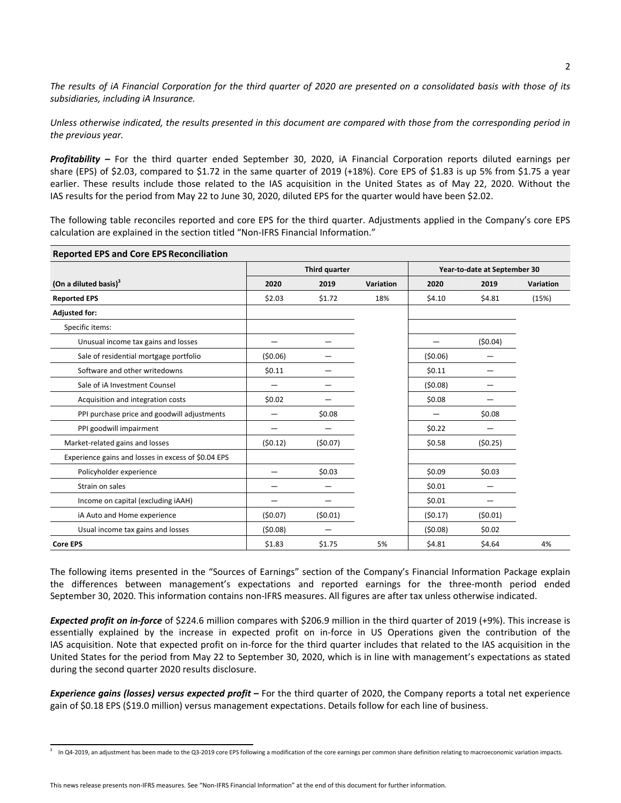The results of iA Financial Corporation for the third quarter of 2020 are presented on a consolidated basis with those of its subsidiaries, including iA Insurance.

Unless otherwise indicated, the results presented in this document are compared with those from the corresponding period in the *previous* year.

**Profitability** – For the third quarter ended September 30, 2020, iA Financial Corporation reports diluted earnings per share (EPS) of \$2.03, compared to \$1.72 in the same quarter of 2019 (+18%). Core EPS of \$1.83 is up 5% from \$1.75 a year earlier. These results include those related to the IAS acquisition in the United States as of May 22, 2020. Without the IAS results for the period from May 22 to June 30, 2020, diluted EPS for the quarter would have been \$2.02.

The following table reconciles reported and core EPS for the third quarter. Adjustments applied in the Company's core EPS calculation are explained in the section titled "Non-IFRS Financial Information."

| <b>Reported EPS and Core EPS Reconciliation</b>     |               |         |           |                              |         |           |  |  |  |
|-----------------------------------------------------|---------------|---------|-----------|------------------------------|---------|-----------|--|--|--|
|                                                     | Third quarter |         |           | Year-to-date at September 30 |         |           |  |  |  |
| (On a diluted basis) <sup>3</sup>                   | 2020          | 2019    | Variation | 2020                         | 2019    | Variation |  |  |  |
| <b>Reported EPS</b>                                 | \$2.03        | \$1.72  | 18%       | \$4.10                       | \$4.81  | (15%)     |  |  |  |
| <b>Adjusted for:</b>                                |               |         |           |                              |         |           |  |  |  |
| Specific items:                                     |               |         |           |                              |         |           |  |  |  |
| Unusual income tax gains and losses                 |               |         |           |                              | (50.04) |           |  |  |  |
| Sale of residential mortgage portfolio              | (50.06)       |         |           | (50.06)                      |         |           |  |  |  |
| Software and other writedowns                       | \$0.11        |         |           | \$0.11                       |         |           |  |  |  |
| Sale of iA Investment Counsel                       |               |         |           | (50.08)                      |         |           |  |  |  |
| Acquisition and integration costs                   | \$0.02        |         |           | \$0.08                       |         |           |  |  |  |
| PPI purchase price and goodwill adjustments         | -             | \$0.08  |           |                              | \$0.08  |           |  |  |  |
| PPI goodwill impairment                             |               |         |           | \$0.22                       |         |           |  |  |  |
| Market-related gains and losses                     | (50.12)       | (50.07) |           | \$0.58                       | (50.25) |           |  |  |  |
| Experience gains and losses in excess of \$0.04 EPS |               |         |           |                              |         |           |  |  |  |
| Policyholder experience                             |               | \$0.03  |           | \$0.09                       | \$0.03  |           |  |  |  |
| Strain on sales                                     | -             |         |           | \$0.01                       |         |           |  |  |  |
| Income on capital (excluding iAAH)                  |               |         |           | \$0.01                       |         |           |  |  |  |
| iA Auto and Home experience                         | (50.07)       | (50.01) |           | (50.17)                      | (50.01) |           |  |  |  |
| Usual income tax gains and losses                   | (50.08)       |         |           | (50.08)                      | \$0.02  |           |  |  |  |
| <b>Core EPS</b>                                     | \$1.83        | \$1.75  | 5%        | \$4.81                       | \$4.64  | 4%        |  |  |  |

The following items presented in the "Sources of Earnings" section of the Company's Financial Information Package explain the differences between management's expectations and reported earnings for the three-month period ended September 30, 2020. This information contains non-IFRS measures. All figures are after tax unless otherwise indicated.

**Expected profit on in-force** of \$224.6 million compares with \$206.9 million in the third quarter of 2019 (+9%). This increase is essentially explained by the increase in expected profit on in-force in US Operations given the contribution of the IAS acquisition. Note that expected profit on in-force for the third quarter includes that related to the IAS acquisition in the United States for the period from May 22 to September 30, 2020, which is in line with management's expectations as stated during the second quarter 2020 results disclosure.

**Experience gains (losses) versus expected profit** – For the third quarter of 2020, the Company reports a total net experience gain of \$0.18 EPS (\$19.0 million) versus management expectations. Details follow for each line of business.

This news release presents non-IFRS measures. See "Non-IFRS Financial Information" at the end of this document for further information.

<sup>3</sup> In Q4-2019, an adjustment has been made to the Q3-2019 core EPS following a modification of the core earnings per common share definition relating to macroeconomic variation impacts.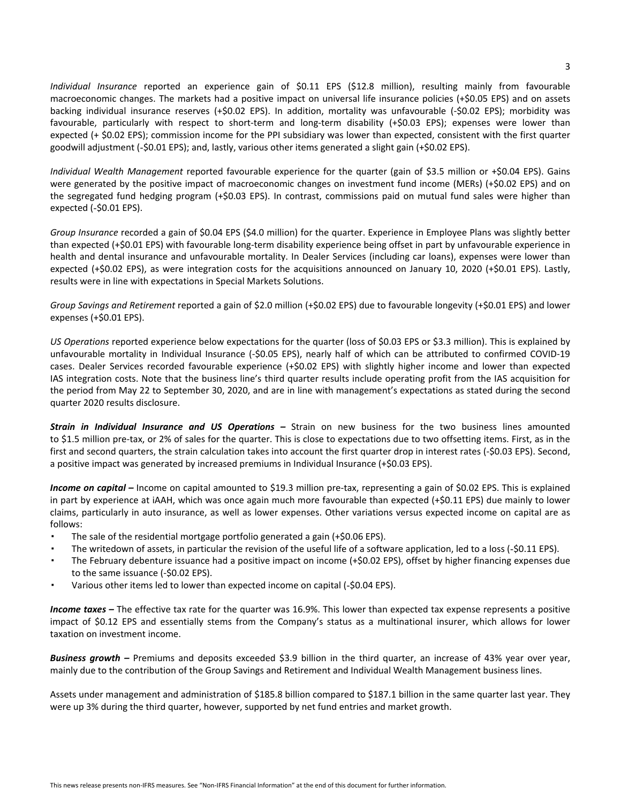*Individual Insurance* reported an experience gain of \$0.11 EPS (\$12.8 million), resulting mainly from favourable macroeconomic changes. The markets had a positive impact on universal life insurance policies  $(+\text{S0.05 EPS})$  and on assets backing individual insurance reserves (+\$0.02 EPS). In addition, mortality was unfavourable (-\$0.02 EPS); morbidity was favourable, particularly with respect to short-term and long-term disability (+\$0.03 EPS); expenses were lower than expected  $(+\xi 0.02$  EPS); commission income for the PPI subsidiary was lower than expected, consistent with the first quarter goodwill adjustment (-\$0.01 EPS); and, lastly, various other items generated a slight gain (+\$0.02 EPS).

*Individual Wealth Management* reported favourable experience for the quarter (gain of \$3.5 million or +\$0.04 EPS). Gains were generated by the positive impact of macroeconomic changes on investment fund income (MERs) (+\$0.02 EPS) and on the segregated fund hedging program (+\$0.03 EPS). In contrast, commissions paid on mutual fund sales were higher than expected  $(-50.01$  EPS).

*Group* Insurance recorded a gain of \$0.04 EPS (\$4.0 million) for the quarter. Experience in Employee Plans was slightly better than expected (+\$0.01 EPS) with favourable long-term disability experience being offset in part by unfavourable experience in health and dental insurance and unfavourable mortality. In Dealer Services (including car loans), expenses were lower than expected  $(+\text{\$0.02 EPS})$ , as were integration costs for the acquisitions announced on January 10, 2020  $(+\text{\$0.01 EPS})$ . Lastly, results were in line with expectations in Special Markets Solutions.

*Group Savings and Retirement* reported a gain of \$2.0 million (+\$0.02 EPS) due to favourable longevity (+\$0.01 EPS) and lower expenses  $(+$0.01$  EPS).

*US* Operations reported experience below expectations for the quarter (loss of \$0.03 EPS or \$3.3 million). This is explained by unfavourable mortality in Individual Insurance (-\$0.05 EPS), nearly half of which can be attributed to confirmed COVID-19 cases. Dealer Services recorded favourable experience (+\$0.02 EPS) with slightly higher income and lower than expected IAS integration costs. Note that the business line's third quarter results include operating profit from the IAS acquisition for the period from May 22 to September 30, 2020, and are in line with management's expectations as stated during the second quarter 2020 results disclosure.

**Strain in Individual Insurance and US Operations** – Strain on new business for the two business lines amounted to \$1.5 million pre-tax, or 2% of sales for the quarter. This is close to expectations due to two offsetting items. First, as in the first and second quarters, the strain calculation takes into account the first quarter drop in interest rates (-\$0.03 EPS). Second, a positive impact was generated by increased premiums in Individual Insurance (+\$0.03 EPS).

**Income on capital** – Income on capital amounted to \$19.3 million pre-tax, representing a gain of \$0.02 EPS. This is explained in part by experience at iAAH, which was once again much more favourable than expected  $(+\xi 0.11$  EPS) due mainly to lower claims, particularly in auto insurance, as well as lower expenses. Other variations versus expected income on capital are as follows:

- The sale of the residential mortgage portfolio generated a gain  $(+\xi 0.06$  EPS).
- The writedown of assets, in particular the revision of the useful life of a software application, led to a loss (-\$0.11 EPS).
- The February debenture issuance had a positive impact on income (+\$0.02 EPS), offset by higher financing expenses due to the same issuance (-\$0.02 EPS).
- Various other items led to lower than expected income on capital (-\$0.04 EPS).

**Income taxes** – The effective tax rate for the quarter was 16.9%. This lower than expected tax expense represents a positive impact of \$0.12 EPS and essentially stems from the Company's status as a multinational insurer, which allows for lower taxation on investment income.

Business growth - Premiums and deposits exceeded \$3.9 billion in the third quarter, an increase of 43% year over year, mainly due to the contribution of the Group Savings and Retirement and Individual Wealth Management business lines.

Assets under management and administration of \$185.8 billion compared to \$187.1 billion in the same quarter last year. They were up 3% during the third quarter, however, supported by net fund entries and market growth.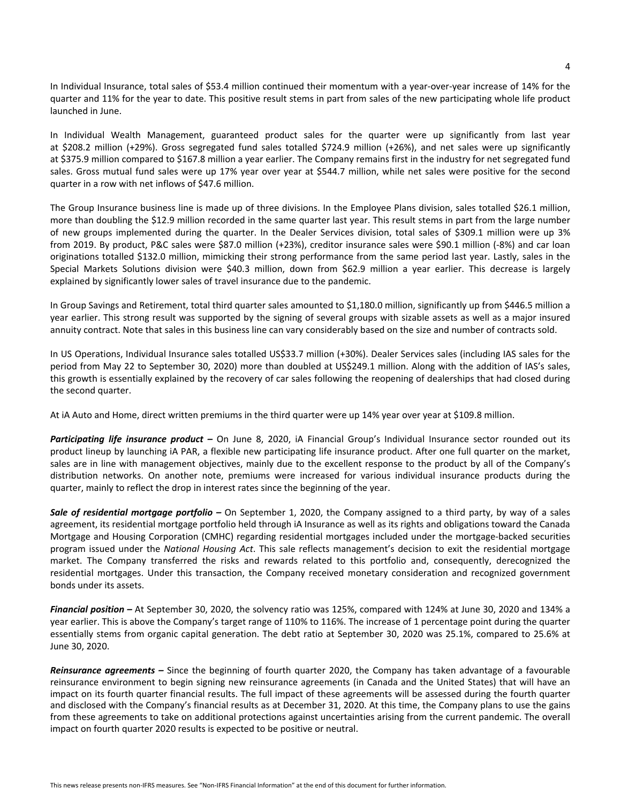In Individual Insurance, total sales of \$53.4 million continued their momentum with a year-over-year increase of 14% for the quarter and 11% for the year to date. This positive result stems in part from sales of the new participating whole life product launched in June.

In Individual Wealth Management, guaranteed product sales for the quarter were up significantly from last year at \$208.2 million (+29%). Gross segregated fund sales totalled \$724.9 million (+26%), and net sales were up significantly at \$375.9 million compared to \$167.8 million a year earlier. The Company remains first in the industry for net segregated fund sales. Gross mutual fund sales were up 17% year over year at \$544.7 million, while net sales were positive for the second quarter in a row with net inflows of \$47.6 million.

The Group Insurance business line is made up of three divisions. In the Employee Plans division, sales totalled \$26.1 million, more than doubling the \$12.9 million recorded in the same quarter last year. This result stems in part from the large number of new groups implemented during the quarter. In the Dealer Services division, total sales of \$309.1 million were up 3% from 2019. By product, P&C sales were \$87.0 million (+23%), creditor insurance sales were \$90.1 million (-8%) and car loan originations totalled \$132.0 million, mimicking their strong performance from the same period last year. Lastly, sales in the Special Markets Solutions division were \$40.3 million, down from \$62.9 million a year earlier. This decrease is largely explained by significantly lower sales of travel insurance due to the pandemic.

In Group Savings and Retirement, total third quarter sales amounted to \$1,180.0 million, significantly up from \$446.5 million a year earlier. This strong result was supported by the signing of several groups with sizable assets as well as a major insured annuity contract. Note that sales in this business line can vary considerably based on the size and number of contracts sold.

In US Operations, Individual Insurance sales totalled US\$33.7 million (+30%). Dealer Services sales (including IAS sales for the period from May 22 to September 30, 2020) more than doubled at US\$249.1 million. Along with the addition of IAS's sales, this growth is essentially explained by the recovery of car sales following the reopening of dealerships that had closed during the second quarter.

At iA Auto and Home, direct written premiums in the third quarter were up 14% year over year at \$109.8 million.

**Participating life insurance product** – On June 8, 2020, iA Financial Group's Individual Insurance sector rounded out its product lineup by launching iA PAR, a flexible new participating life insurance product. After one full quarter on the market, sales are in line with management objectives, mainly due to the excellent response to the product by all of the Company's distribution networks. On another note, premiums were increased for various individual insurance products during the quarter, mainly to reflect the drop in interest rates since the beginning of the year.

**Sale of residential mortgage portfolio** – On September 1, 2020, the Company assigned to a third party, by way of a sales agreement, its residential mortgage portfolio held through iA Insurance as well as its rights and obligations toward the Canada Mortgage and Housing Corporation (CMHC) regarding residential mortgages included under the mortgage-backed securities program issued under the *National Housing Act*. This sale reflects management's decision to exit the residential mortgage market. The Company transferred the risks and rewards related to this portfolio and, consequently, derecognized the residential mortgages. Under this transaction, the Company received monetary consideration and recognized government bonds under its assets.

**Financial position** – At September 30, 2020, the solvency ratio was 125%, compared with 124% at June 30, 2020 and 134% a year earlier. This is above the Company's target range of 110% to 116%. The increase of 1 percentage point during the quarter essentially stems from organic capital generation. The debt ratio at September 30, 2020 was 25.1%, compared to 25.6% at June 30, 2020.

**Reinsurance agreements** – Since the beginning of fourth quarter 2020, the Company has taken advantage of a favourable reinsurance environment to begin signing new reinsurance agreements (in Canada and the United States) that will have an impact on its fourth quarter financial results. The full impact of these agreements will be assessed during the fourth quarter and disclosed with the Company's financial results as at December 31, 2020. At this time, the Company plans to use the gains from these agreements to take on additional protections against uncertainties arising from the current pandemic. The overall impact on fourth quarter 2020 results is expected to be positive or neutral.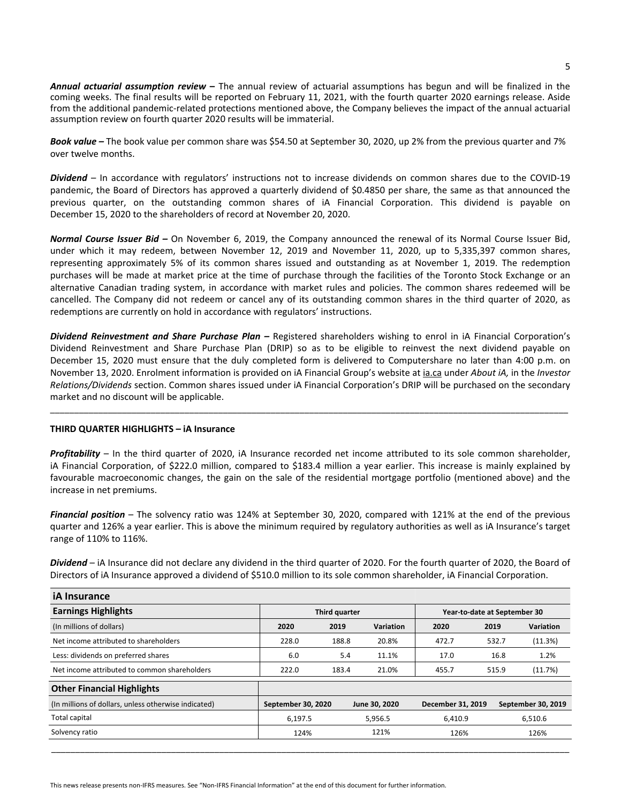**Annual actuarial assumption review** – The annual review of actuarial assumptions has begun and will be finalized in the coming weeks. The final results will be reported on February 11, 2021, with the fourth quarter 2020 earnings release. Aside from the additional pandemic-related protections mentioned above, the Company believes the impact of the annual actuarial assumption review on fourth quarter 2020 results will be immaterial.

**Book value** – The book value per common share was \$54.50 at September 30, 2020, up 2% from the previous quarter and 7% over twelve months.

Dividend – In accordance with regulators' instructions not to increase dividends on common shares due to the COVID-19 pandemic, the Board of Directors has approved a quarterly dividend of \$0.4850 per share, the same as that announced the previous quarter, on the outstanding common shares of iA Financial Corporation. This dividend is payable on December 15, 2020 to the shareholders of record at November 20, 2020.

*Normal Course Issuer Bid –* On November 6, 2019, the Company announced the renewal of its Normal Course Issuer Bid, under which it may redeem, between November 12, 2019 and November 11, 2020, up to 5,335,397 common shares, representing approximately 5% of its common shares issued and outstanding as at November 1, 2019. The redemption purchases will be made at market price at the time of purchase through the facilities of the Toronto Stock Exchange or an alternative Canadian trading system, in accordance with market rules and policies. The common shares redeemed will be cancelled. The Company did not redeem or cancel any of its outstanding common shares in the third quarter of 2020, as redemptions are currently on hold in accordance with regulators' instructions.

**Dividend Reinvestment and Share Purchase Plan** – Registered shareholders wishing to enrol in *iA* Financial Corporation's Dividend Reinvestment and Share Purchase Plan (DRIP) so as to be eligible to reinvest the next dividend payable on December 15, 2020 must ensure that the duly completed form is delivered to Computershare no later than 4:00 p.m. on November 13, 2020. Enrolment information is provided on iA Financial Group's website at ia.ca under *About iA*, in the *Investor Relations/Dividends* section. Common shares issued under iA Financial Corporation's DRIP will be purchased on the secondary market and no discount will be applicable.

\_\_\_\_\_\_\_\_\_\_\_\_\_\_\_\_\_\_\_\_\_\_\_\_\_\_\_\_\_\_\_\_\_\_\_\_\_\_\_\_\_\_\_\_\_\_\_\_\_\_\_\_\_\_\_\_\_\_\_\_\_\_\_\_\_\_\_\_\_\_\_\_\_\_\_\_\_\_\_\_\_\_\_\_\_\_\_\_\_\_\_\_\_\_\_\_\_\_\_\_\_\_\_\_\_\_\_\_

## **THIRD QUARTER HIGHLIGHTS - iA Insurance**

**Profitability** – In the third quarter of 2020, iA Insurance recorded net income attributed to its sole common shareholder, iA Financial Corporation, of \$222.0 million, compared to \$183.4 million a year earlier. This increase is mainly explained by favourable macroeconomic changes, the gain on the sale of the residential mortgage portfolio (mentioned above) and the increase in net premiums.

Financial position – The solvency ratio was 124% at September 30, 2020, compared with 121% at the end of the previous quarter and 126% a year earlier. This is above the minimum required by regulatory authorities as well as iA Insurance's target range of 110% to 116%.

Dividend – iA Insurance did not declare any dividend in the third quarter of 2020. For the fourth quarter of 2020, the Board of Directors of iA Insurance approved a dividend of \$510.0 million to its sole common shareholder, iA Financial Corporation.

| <b>iA</b> Insurance                                  |                    |       |               |                              |       |                    |  |
|------------------------------------------------------|--------------------|-------|---------------|------------------------------|-------|--------------------|--|
| <b>Earnings Highlights</b>                           | Third quarter      |       |               | Year-to-date at September 30 |       |                    |  |
| (In millions of dollars)                             | 2020               | 2019  | Variation     | 2020                         | 2019  | Variation          |  |
| Net income attributed to shareholders                | 228.0              | 188.8 | 20.8%         | 472.7                        | 532.7 | (11.3%)            |  |
| Less: dividends on preferred shares                  | 6.0                | 5.4   | 11.1%         | 17.0                         | 16.8  | 1.2%               |  |
| Net income attributed to common shareholders         | 222.0              | 183.4 | 21.0%         | 455.7                        | 515.9 | (11.7%)            |  |
| <b>Other Financial Highlights</b>                    |                    |       |               |                              |       |                    |  |
| (In millions of dollars, unless otherwise indicated) | September 30, 2020 |       | June 30, 2020 | December 31, 2019            |       | September 30, 2019 |  |
| Total capital                                        | 6,197.5            |       | 5,956.5       | 6,410.9                      |       | 6,510.6            |  |
| Solvency ratio                                       | 124%               |       | 121%          | 126%                         |       | 126%               |  |

\_\_\_\_\_\_\_\_\_\_\_\_\_\_\_\_\_\_\_\_\_\_\_\_\_\_\_\_\_\_\_\_\_\_\_\_\_\_\_\_\_\_\_\_\_\_\_\_\_\_\_\_\_\_\_\_\_\_\_\_\_\_\_\_\_\_\_\_\_\_\_\_\_\_\_\_\_\_\_\_\_\_\_\_\_\_\_\_\_\_\_\_\_\_\_\_\_\_\_\_\_\_\_\_\_\_\_\_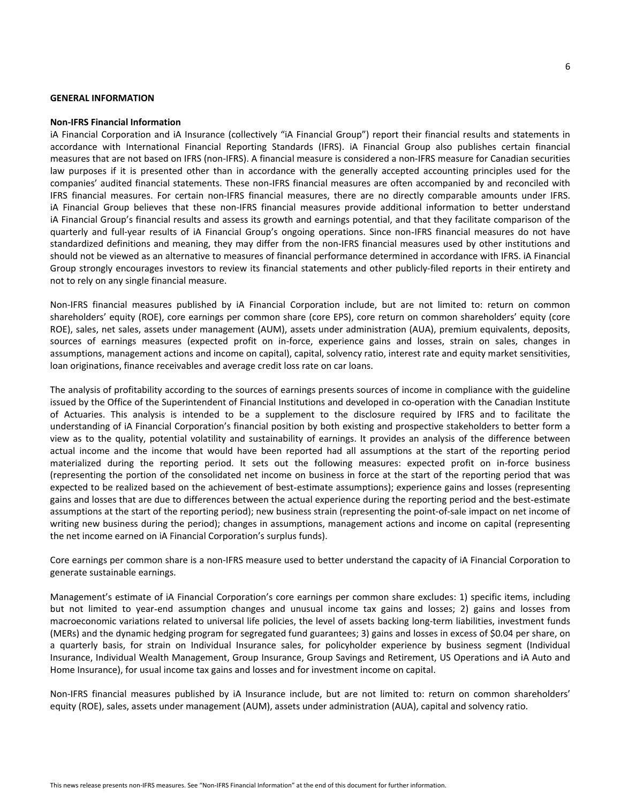#### **GENERAL INFORMATION**

#### **Non-IFRS Financial Information**

iA Financial Corporation and iA Insurance (collectively "iA Financial Group") report their financial results and statements in accordance with International Financial Reporting Standards (IFRS). iA Financial Group also publishes certain financial measures that are not based on IFRS (non-IFRS). A financial measure is considered a non-IFRS measure for Canadian securities law purposes if it is presented other than in accordance with the generally accepted accounting principles used for the companies' audited financial statements. These non-IFRS financial measures are often accompanied by and reconciled with IFRS financial measures. For certain non-IFRS financial measures, there are no directly comparable amounts under IFRS. iA Financial Group believes that these non-IFRS financial measures provide additional information to better understand iA Financial Group's financial results and assess its growth and earnings potential, and that they facilitate comparison of the quarterly and full-year results of iA Financial Group's ongoing operations. Since non-IFRS financial measures do not have standardized definitions and meaning, they may differ from the non-IFRS financial measures used by other institutions and should not be viewed as an alternative to measures of financial performance determined in accordance with IFRS. IA Financial Group strongly encourages investors to review its financial statements and other publicly-filed reports in their entirety and not to rely on any single financial measure.

Non-IFRS financial measures published by iA Financial Corporation include, but are not limited to: return on common shareholders' equity (ROE), core earnings per common share (core EPS), core return on common shareholders' equity (core ROE), sales, net sales, assets under management (AUM), assets under administration (AUA), premium equivalents, deposits, sources of earnings measures (expected profit on in-force, experience gains and losses, strain on sales, changes in assumptions, management actions and income on capital), capital, solvency ratio, interest rate and equity market sensitivities, loan originations, finance receivables and average credit loss rate on car loans.

The analysis of profitability according to the sources of earnings presents sources of income in compliance with the guideline issued by the Office of the Superintendent of Financial Institutions and developed in co-operation with the Canadian Institute of Actuaries. This analysis is intended to be a supplement to the disclosure required by IFRS and to facilitate the understanding of iA Financial Corporation's financial position by both existing and prospective stakeholders to better form a view as to the quality, potential volatility and sustainability of earnings. It provides an analysis of the difference between actual income and the income that would have been reported had all assumptions at the start of the reporting period materialized during the reporting period. It sets out the following measures: expected profit on in-force business (representing the portion of the consolidated net income on business in force at the start of the reporting period that was expected to be realized based on the achievement of best-estimate assumptions); experience gains and losses (representing gains and losses that are due to differences between the actual experience during the reporting period and the best-estimate assumptions at the start of the reporting period); new business strain (representing the point-of-sale impact on net income of writing new business during the period); changes in assumptions, management actions and income on capital (representing the net income earned on iA Financial Corporation's surplus funds).

Core earnings per common share is a non-IFRS measure used to better understand the capacity of iA Financial Corporation to generate sustainable earnings.

Management's estimate of iA Financial Corporation's core earnings per common share excludes: 1) specific items, including but not limited to year-end assumption changes and unusual income tax gains and losses; 2) gains and losses from macroeconomic variations related to universal life policies, the level of assets backing long-term liabilities, investment funds (MERs) and the dynamic hedging program for segregated fund guarantees; 3) gains and losses in excess of \$0.04 per share, on a quarterly basis, for strain on Individual Insurance sales, for policyholder experience by business segment (Individual Insurance, Individual Wealth Management, Group Insurance, Group Savings and Retirement, US Operations and iA Auto and Home Insurance), for usual income tax gains and losses and for investment income on capital.

Non-IFRS financial measures published by iA Insurance include, but are not limited to: return on common shareholders' equity (ROE), sales, assets under management (AUM), assets under administration (AUA), capital and solvency ratio.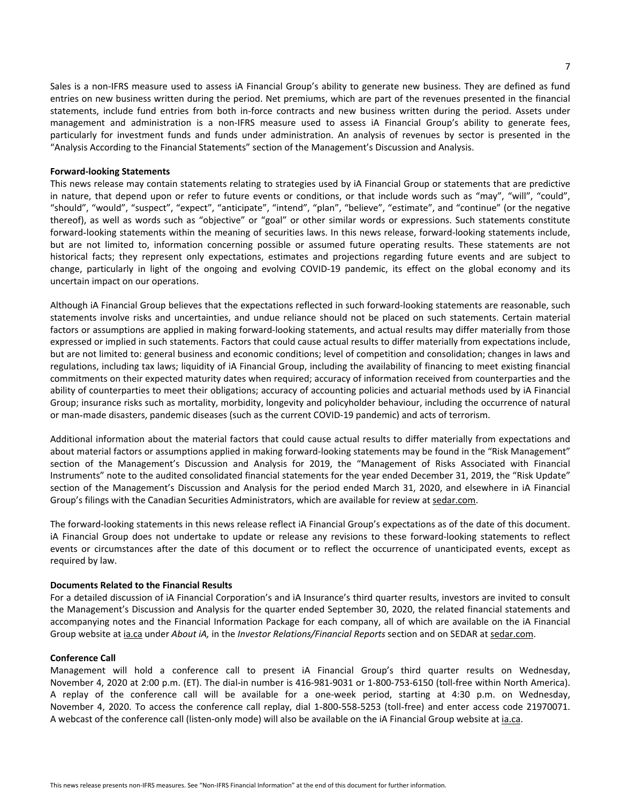Sales is a non-IFRS measure used to assess iA Financial Group's ability to generate new business. They are defined as fund entries on new business written during the period. Net premiums, which are part of the revenues presented in the financial statements, include fund entries from both in-force contracts and new business written during the period. Assets under management and administration is a non-IFRS measure used to assess iA Financial Group's ability to generate fees, particularly for investment funds and funds under administration. An analysis of revenues by sector is presented in the "Analysis According to the Financial Statements" section of the Management's Discussion and Analysis.

#### **Forward-looking Statements**

This news release may contain statements relating to strategies used by iA Financial Group or statements that are predictive in nature, that depend upon or refer to future events or conditions, or that include words such as "may", "will", "could", "should", "would", "suspect", "expect", "anticipate", "intend", "plan", "believe", "estimate", and "continue" (or the negative thereof), as well as words such as "objective" or "goal" or other similar words or expressions. Such statements constitute forward-looking statements within the meaning of securities laws. In this news release, forward-looking statements include, but are not limited to, information concerning possible or assumed future operating results. These statements are not historical facts; they represent only expectations, estimates and projections regarding future events and are subject to change, particularly in light of the ongoing and evolving COVID-19 pandemic, its effect on the global economy and its uncertain impact on our operations.

Although iA Financial Group believes that the expectations reflected in such forward-looking statements are reasonable, such statements involve risks and uncertainties, and undue reliance should not be placed on such statements. Certain material factors or assumptions are applied in making forward-looking statements, and actual results may differ materially from those expressed or implied in such statements. Factors that could cause actual results to differ materially from expectations include, but are not limited to: general business and economic conditions; level of competition and consolidation; changes in laws and regulations, including tax laws; liquidity of iA Financial Group, including the availability of financing to meet existing financial commitments on their expected maturity dates when required; accuracy of information received from counterparties and the ability of counterparties to meet their obligations; accuracy of accounting policies and actuarial methods used by iA Financial Group; insurance risks such as mortality, morbidity, longevity and policyholder behaviour, including the occurrence of natural or man-made disasters, pandemic diseases (such as the current COVID-19 pandemic) and acts of terrorism.

Additional information about the material factors that could cause actual results to differ materially from expectations and about material factors or assumptions applied in making forward-looking statements may be found in the "Risk Management" section of the Management's Discussion and Analysis for 2019, the "Management of Risks Associated with Financial Instruments" note to the audited consolidated financial statements for the year ended December 31, 2019, the "Risk Update" section of the Management's Discussion and Analysis for the period ended March 31, 2020, and elsewhere in iA Financial Group's filings with the Canadian Securities Administrators, which are available for review at <sedar.com>.

The forward-looking statements in this news release reflect iA Financial Group's expectations as of the date of this document. iA Financial Group does not undertake to update or release any revisions to these forward-looking statements to reflect events or circumstances after the date of this document or to reflect the occurrence of unanticipated events, except as required by law.

## **Documents Related to the Financial Results**

For a detailed discussion of iA Financial Corporation's and iA Insurance's third quarter results, investors are invited to consult the Management's Discussion and Analysis for the quarter ended September 30, 2020, the related financial statements and accompanying notes and the Financial Information Package for each company, all of which are available on the iA Financial Group website at <ia.ca> under *About iA*, in the *Investor Relations/Financial Reports* section and on SEDAR at <sedar.com>.

#### **Conference Call**

Management will hold a conference call to present iA Financial Group's third quarter results on Wednesday, November 4, 2020 at 2:00 p.m. (ET). The dial-in number is 416-981-9031 or 1-800-753-6150 (toll-free within North America). A replay of the conference call will be available for a one-week period, starting at 4:30 p.m. on Wednesday, November 4, 2020. To access the conference call replay, dial 1-800-558-5253 (toll-free) and enter access code 21970071. A webcast of the conference call (listen-only mode) will also be available on the iA Financial Group website at *<ia.ca>*.